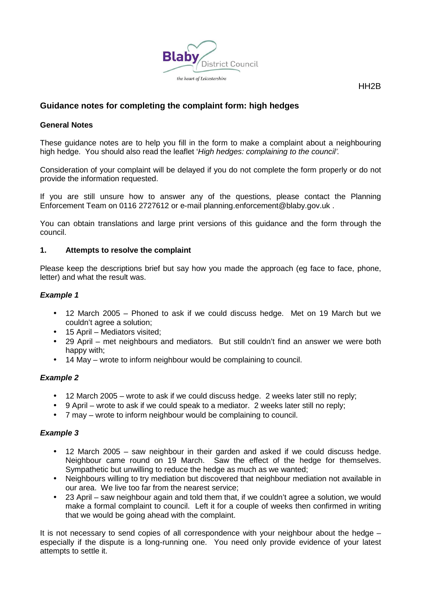

## HH<sub>2</sub>B

# **Guidance notes for completing the complaint form: high hedges**

## **General Notes**

 These guidance notes are to help you fill in the form to make a complaint about a neighbouring high hedge. You should also read the leaflet 'High hedges: complaining to the council'.

 Consideration of your complaint will be delayed if you do not complete the form properly or do not provide the information requested.

 If you are still unsure how to answer any of the questions, please contact the Planning Enforcement Team on 0116 2727612 or e-mail planning.enforcement@blaby.gov.uk .

 You can obtain translations and large print versions of this guidance and the form through the council.

### **1. Attempts to resolve the complaint**

 Please keep the descriptions brief but say how you made the approach (eg face to face, phone, letter) and what the result was.

### **Example 1**

- • 12 March 2005 Phoned to ask if we could discuss hedge. Met on 19 March but we couldn't agree a solution;
- 15 April Mediators visited;
- $\bullet$  happy with; • 29 April – met neighbours and mediators. But still couldn't find an answer we were both
- 14 May wrote to inform neighbour would be complaining to council.

## **Example 2**

- 12 March 2005 wrote to ask if we could discuss hedge. 2 weeks later still no reply;
- 9 April wrote to ask if we could speak to a mediator. 2 weeks later still no reply;
- 7 may wrote to inform neighbour would be complaining to council.

## **Example 3**

- $\bullet$  Neighbour came round on 19 March. Saw the effect of the hedge for themselves. Sympathetic but unwilling to reduce the hedge as much as we wanted; • 12 March 2005 – saw neighbour in their garden and asked if we could discuss hedge.
- • Neighbours willing to try mediation but discovered that neighbour mediation not available in our area. We live too far from the nearest service;
- $\bullet$  make a formal complaint to council. Left it for a couple of weeks then confirmed in writing that we would be going ahead with the complaint. • 23 April – saw neighbour again and told them that, if we couldn't agree a solution, we would

 It is not necessary to send copies of all correspondence with your neighbour about the hedge – especially if the dispute is a long-running one. You need only provide evidence of your latest attempts to settle it.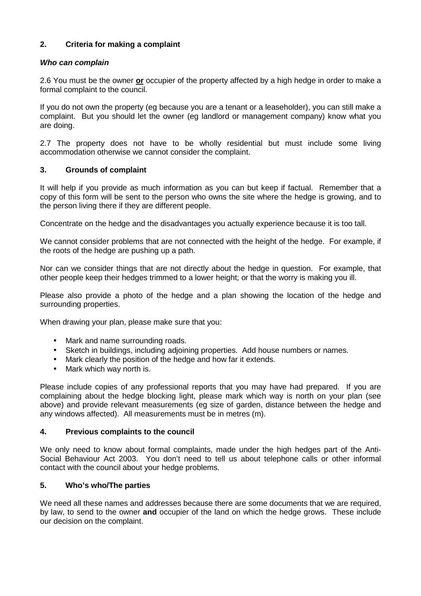## **2. Criteria for making a complaint**

## **Who can complain**

 2.6 You must be the owner **or** occupier of the property affected by a high hedge in order to make a formal complaint to the council.

 If you do not own the property (eg because you are a tenant or a leaseholder), you can still make a complaint. But you should let the owner (eg landlord or management company) know what you are doing.

 2.7 The property does not have to be wholly residential but must include some living accommodation otherwise we cannot consider the complaint.

## **3. Grounds of complaint**

 It will help if you provide as much information as you can but keep if factual. Remember that a copy of this form will be sent to the person who owns the site where the hedge is growing, and to the person living there if they are different people.

Concentrate on the hedge and the disadvantages you actually experience because it is too tall.

 We cannot consider problems that are not connected with the height of the hedge. For example, if the roots of the hedge are pushing up a path.

 Nor can we consider things that are not directly about the hedge in question. For example, that other people keep their hedges trimmed to a lower height; or that the worry is making you ill.

 Please also provide a photo of the hedge and a plan showing the location of the hedge and surrounding properties.

When drawing your plan, please make sure that you:

- Mark and name surrounding roads.
- Sketch in buildings, including adjoining properties. Add house numbers or names.
- Mark clearly the position of the hedge and how far it extends.
- $\bullet$ Mark which way north is.

 Please include copies of any professional reports that you may have had prepared. If you are complaining about the hedge blocking light, please mark which way is north on your plan (see above) and provide relevant measurements (eg size of garden, distance between the hedge and any windows affected). All measurements must be in metres (m).

### **4. Previous complaints to the council**

 We only need to know about formal complaints, made under the high hedges part of the Anti- Social Behaviour Act 2003. You don't need to tell us about telephone calls or other informal contact with the council about your hedge problems.

## **5. Who's who/The parties**

 We need all these names and addresses because there are some documents that we are required, by law, to send to the owner **and** occupier of the land on which the hedge grows. These include our decision on the complaint.